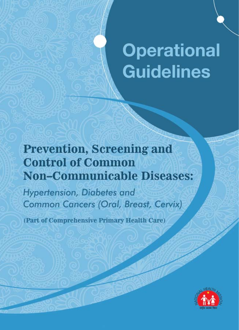# **Operational Guidelines**

## **Prevention, Screening and Control of Common Non-Communicable Diseases:**

Hypertension, Diabetes and **Common Cancers (Oral, Breast, Cervix)** 

(Part of Comprehensive Primary Health Care)

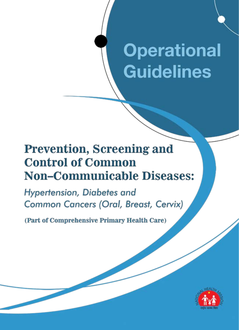# **Operational Guidelines**

## **Prevention, Screening and Control of Common Non-Communicable Diseases:**

Hypertension, Diabetes and **Common Cancers (Oral, Breast, Cervix)** 

(Part of Comprehensive Primary Health Care)

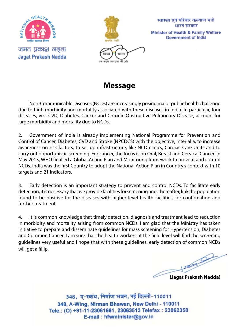

जगत प्रकाश नड्डा **Jagat Prakash Nadda** 



स्वास्थ्य एवं परिवार कल्याण मंत्री भारत सरकार Minister of Health & Family Welfare **Government of India** 

**Message**

Non-Communicable Diseases (NCDs) are increasingly posing major public health challenge due to high morbidity and mortality associated with these diseases in India. In particular, four diseases, viz., CVD, Diabetes, Cancer and Chronic Obstructive Pulmonary Disease, account for large morbidity and mortality due to NCDs.

2. Government of India is already implementing National Programme for Prevention and Control of Cancer, Diabetes, CVD and Stroke (NPCDCS) with the objective, inter alia, to increase awareness on risk factors, to set up infrastructure, like NCD clinics, Cardiac Care Units and to carry out opportunistic screening. For cancer, the focus is on Oral, Breast and Cervical Cancer. In May 2013, WHO finalied a Global Action Plan and Monitoring framework to prevent and control NCDs. India was the first Country to adopt the National Action Plan in Country's context with 10 targets and 21 indicators.

3. Early detection is an important strategy to prevent and control NCDs. To facilitate early detection, it is necessary that we provide facilities for screening and, thereafter, link the population found to be positive for the diseases with higher level health facilities, for confirmation and further treatment.

4. It is common knowledge that timely detection, diagnosis and treatment lead to reduction in morbidity and mortality arising from common NCDs. I am glad that the Ministry has taken initiative to prepare and disseminate guidelines for mass screening for Hypertension, Diabetes and Common Cancer. I am sure that the health workers at the field level will find the screening guidelines very useful and I hope that with these guidelines, early detection of common NCDs will get a fillip.

**CONTRACTOR (Jagat Prakash Nadda)**

348, ए-स्कंध, निर्माण भवन, नई दिल्ली-110011 348, A-Wing, Nirman Bhawan, New Delhi - 110011 Tele.: (O) +91-11-23061661, 23063513 Telefax: 23062358 E-mail: hfwminister@gov.in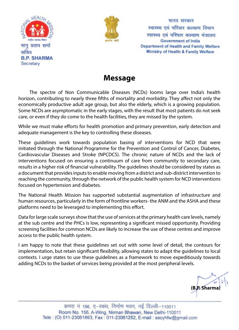



भारत सरकार स्वास्थ्य एवं परिवार कल्याण विभाग स्वास्थ्य एवं परिवार कल्याण मंत्रालय **Government of India** Department of Health and Family Welfare Ministry of Health & Family Welfare

#### **Message**

The spectre of Non Communicable Diseases (NCDs) looms large over India's health horizon, contributing to nearly three fifths of mortality and morbidity. They affect not only the economically productive adult age group, but also the elderly, which is a growing population. Some NCDs are asymptomatic in the early stages, with the result that most patients do not seek care, or even if they do come to the health facilities, they are missed by the system.

While we must make efforts for health promotion and primary prevention, early detection and adequate management is the key to controlling these diseases.

These guidelines work towards population basing of interventions for NCD that were initiated through the National Programme for the Prevention and Control of Cancer, Diabetes, Cardiovascular Diseases and Stroke (NPCDCS). The chronic nature of NCDs and the lack of interventions focused on ensuring a continuum of care from community to secondary care, results in a higher risk of financial vulnerability. The guidelines should be considered by states as a document that provides inputs to enable moving from a district and sub-district intervention to reaching the community, through the network of the public health system for NCD interventions focused on hypertension and diabetes.

The National Health Mission has supported substantial augmentation of infrastructure and human resources, particularly in the form of frontline workers- the ANM and the ASHA and these platforms need to be leveraged to implementing this effort.

Data for large scale surveys show that the use of services at the primary health care levels, namely at the sub centre and the PHCs is low, representing a significant missed opportunity. Providing screening facilities for common NCDs are likely to increase the use of these centres and improve access to the public health system.

I am happy to note that these guidelines set out with some level of detail, the contours for implementation, but retain significant flexibility, allowing states to adapt the guidelines to local contexts. I urge states to use these guidelines as a framework to move expeditiously towards adding NCDs to the basket of services being provided at the most peripheral levels.

**(B.P. Sharma)**

कमरा नं 156, ए-स्कंध, निर्माण भवन, नई दिल्ली-110011 Room No. 156, A-Wing, Nirman Bhawan, New Delhi-110011 Tele: (O) 011-23061863, Fax: 011-23061252, E-mail: secyhfw@gmail.com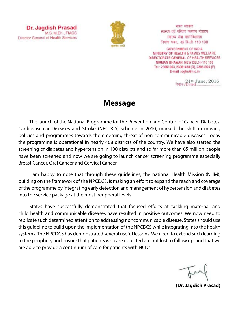

भारत सरकार स्वास्थ्य एवं परिवार कल्याण मंत्रालय स्वास्थ्य सेवा महानिदेशालय निर्माण भवन, नई दिल्ली-110 108

**GOVERNMENT OF INDIA** MINISTRY OF HEALTH & FAMILY WELFARE DIRECTORATE GENERAL OF HEALTH SERVICES NIRMAN BHAWAN, NEW DELHI-110 108 Tel: 23061063, 23061438 (O), 23061924 (F) E-mail : dghs@nic.in

21st June, 2016

#### **Message**

The launch of the National Programme for the Prevention and Control of Cancer, Diabetes, Cardiovascular Diseases and Stroke (NPCDCS) scheme in 2010, marked the shift in moving policies and programmes towards the emerging threat of non-communicable diseases. Today the programme is operational in nearly 468 districts of the country. We have also started the screening of diabetes and hypertension in 100 districts and so far more than 65 million people have been screened and now we are going to launch cancer screening programme especially Breast Cancer, Oral Cancer and Cervical Cancer.

I am happy to note that through these guidelines, the national Health Mission (NHM), building on the framework of the NPCDCS, is making an effort to expand the reach and coverage of the programme by integrating early detection and management of hypertension and diabetes into the service package at the most peripheral levels.

States have successfully demonstrated that focused efforts at tackling maternal and child health and communicable diseases have resulted in positive outcomes. We now need to replicate such determined attention to addressing noncommunicable disease. States should use this guideline to build upon the implementation of the NPCDCS while integrating into the health systems. The NPCDCS has demonstrated several useful lessons. We need to extend such learning to the periphery and ensure that patients who are detected are not lost to follow up, and that we are able to provide a continuum of care for patients with NCDs.

**(Dr. Jagdish Prasad)**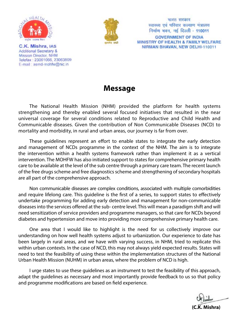

C.K. Mishra, IAS Additional Secretary & Mission Director, NHM Telefax: 23061066, 23063809 E-mail: asmd-mohfw@nic.in



भारत सरकार स्वास्थ्य एवं परिवार कल्याण मंत्रालय निर्माण भवन, नई दिल्ली - 110011 **GOVERNMENT OF INDIA** MINISTRY OF HEALTH & FAMILY WELFARE NIRMAN BHAVAN, NEW DELHI-110011

#### **Message**

The National Health Mission (NHM) provided the platform for health systems strengthening and thereby enabled several focused initiatives that resulted in the near universal coverage for several conditions related to Reproductive and Child Health and Communicable diseases. Given the contribution of Non Communicable Diseases (NCD) to mortality and morbidity, in rural and urban areas, our journey is far from over.

These guidelines represent an effort to enable states to integrate the early detection and management of NCDs programme in the context of the NHM. The aim is to integrate the intervention within a health systems framework rather than implement it as a vertical intervention. The MOHFW has also initiated support to states for comprehensive primary health care to be available at the level of the sub centre through a primary care team. The recent launch of the free drugs scheme and free diagnostics scheme and strengthening of secondary hospitals are all part of the comprehensive approach.

Non communicable diseases are complex conditions, associated with multiple comorbidities and require lifelong care. This guideline is the first of a series, to support states to effectively undertake programming for adding early detection and management for non-communicable diseases into the services offered at the sub- centre level. This will mean a paradigm shift and will need sensitization of service providers and programme managers, so that care for NCDs beyond diabetes and hypertension and move into providing more comprehensive primary health care.

One area that I would like to highlight is the need for us collectively improve our understanding on how well health systems adjust to urbanization. Our experience to date has been largely in rural areas, and we have with varying success, in NHM, tried to replicate this within urban contexts. In the case of NCD, this may not always yield expected results. States will need to test the feasibility of using these within the implementation structures of the National Urban Health Mission (NUHM) in urban areas, where the problem of NCD is high.

I urge states to use these guidelines as an instrument to test the feasibility of this approach, adapt the guidelines as necessary and most importantly provide feedback to us so that policy and programme modifications are based on field experience.

**(C.K. Mishra)**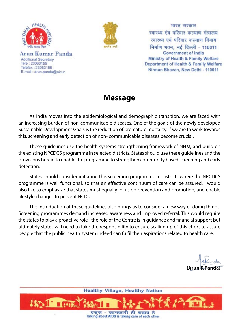

Arun Kumar Panda **Additional Secretary** Tele: 23063155 Telefax: 23063156 E-mail : arun.panda@nic.in



भारत सरकार स्वास्थ्य एवं परिवार कल्याण मंत्रालय स्वास्थ्य एवं परिवार कल्याण विभाग निर्माण भवन, नई दिल्ली - 110011 **Government of India** Ministry of Health & Family Welfare Department of Health & Family Welfare Nirman Bhavan, New Delhi - 110011

#### **Message**

As India moves into the epidemiological and demographic transition, we are faced with an increasing burden of non-communicable diseases. One of the goals of the newly developed Sustainable Development Goals is the reduction of premature mortality. If we are to work towards this, screening and early detection of non- communicable diseases become crucial.

These guidelines use the health systems strengthening framework of NHM, and build on the existing NPCDCS programme in selected districts. States should use these guidelines and the provisions herein to enable the programme to strengthen community based screening and early detection.

States should consider initiating this screening programme in districts where the NPCDCS programme is well functional, so that an effective continuum of care can be assured. I would also like to emphasize that states must equally focus on prevention and promotion, and enable lifestyle changes to prevent NCDs.

The introduction of these guidelines also brings us to consider a new way of doing things. Screening programmes demand increased awareness and improved referral. This would require the states to play a proactive role - the role of the Centre is in guidance and financial support but ultimately states will need to take the responsibility to ensure scaling up of this effort to assure people that the public health system indeed can fulfil their aspirations related to health care.

**(Arun K Panda)**

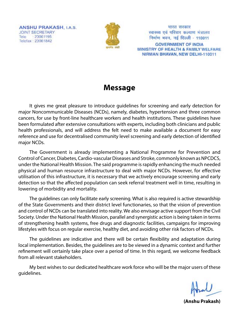**ANSHU PRAKASH, LA.S.** JOINT SECRETARY Tele 23061195 Telefax: 23061842



भारत सरकार स्वास्थ्य एवं परिवार कल्याण मंत्रालय निर्माण भवन, नई दिल्ली - 110011

**GOVERNMENT OF INDIA** MINISTRY OF HEALTH & FAMILY WELFARE NIRMAN BHAVAN, NEW DELHI-110011

#### **Message**

It gives me great pleasure to introduce guidelines for screening and early detection for major Noncommunicable Diseases (NCDs), namely, diabetes, hypertension and three common cancers, for use by front-line healthcare workers and health institutions. These guidelines have been formulated after extensive consultations with experts, including both clinicians and public health professionals, and will address the felt need to make available a document for easy reference and use for decentralised community level screening and early detection of identified major NCDs.

The Government is already implementing a National Programme for Prevention and Control of Cancer, Diabetes, Cardio-vascular Diseases and Stroke, commonly known as NPCDCS, under the National Health Mission. The said programme is rapidly enhancing the much needed physical and human resource infrastructure to deal with major NCDs. However, for effective utilisation of this infrastructure, it is necessary that we actively encourage screening and early detection so that the affected population can seek referral treatment well in time, resulting in lowering of morbidity and mortality.

The guidelines can only facilitate early screening. What is also required is active stewardship of the State Governments and their district level functionaries, so that the vision of prevention and control of NCDs can be translated into reality. We also envisage active support from the Civil Society. Under the National Health Mission, parallel and synergistic action is being taken in terms of strengthening health systems, free drugs and diagnostic facilities, campaigns for improving lifestyles with focus on regular exercise, healthy diet, and avoiding other risk factors of NCDs.

The guidelines are indicative and there will be certain flexibility and adaptation during local implementation. Besides, the guidelines are to be viewed in a dynamic context and further refinement will certainly take place over a period of time. In this regard, we welcome feedback from all relevant stakeholders.

My best wishes to our dedicated healthcare work force who will be the major users of these guidelines.

**(Anshu Prakash)**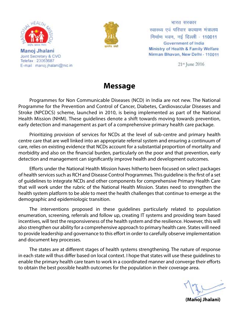

Manoj Jhalani Joint Secretary & CVO Telefax: 23063687 E-mail manoj jhalani@nic.in



भारत सरकार स्वास्थ्य एवं परिवार कल्याण मंत्रालय निर्माण भवन, नई दिल्ली - 110011 Government of India Ministry of Health & Family Welfare Nirman Bhavan, New Delhi - 110011

21<sup>st</sup> June 2016

#### **Message**

Programmes for Non Communicable Diseases (NCD) in India are not new. The National Programme for the Prevention and Control of Cancer, Diabetes, Cardiovascular Diseases and Stroke (NPCDCS) scheme, launched in 2010, is being implemented as part of the National Health Mission (NHM). These guidelines denote a shift towards moving towards prevention, early detection and management as part of a comprehensive primary health care package.

Prioritizing provision of services for NCDs at the level of sub-centre and primary health centre care that are well linked into an appropriate referral system and ensuring a continuum of care, relies on existing evidence that NCDs account for a substantial proportion of mortality and morbidity and also on the financial burden, particularly on the poor and that prevention, early detection and management can significantly improve health and development outcomes.

Efforts under the National Health Mission haves hitherto been focused on select packages of health services such as RCH and Disease Control Programmes. This guideline is the first of a set of guidelines to integrate NCDs and other components for comprehensive Primary Health Care that will work under the rubric of the National Health Mission. States need to strengthen the health system platform to be able to meet the health challenges that continue to emerge as the demographic and epidemiologic transition.

The interventions proposed in these guidelines particularly related to population enumeration, screening, referrals and follow up, creating IT systems and providing team based incentives, will test the responsiveness of the health system and the resilience. However, this will also strengthen our ability for a comprehensive approach to primary health care. States will need to provide leadership and governance to this effort in order to carefully observe implementation and document key processes.

The states are at different stages of health systems strengthening. The nature of response in each state will thus differ based on local context. I hope that states will use these guidelines to enable the primary health care team to work in a coordinated manner and converge their efforts to obtain the best possible health outcomes for the population in their coverage area.

**(Manoj Jhalani)**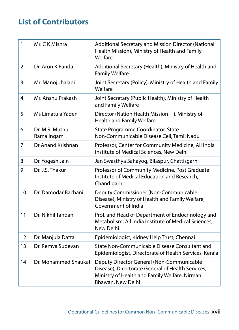#### **List of Contributors**

| 1              | Mr. C K Mishra               | Additional Secretary and Mission Director (National<br>Health Mission), Ministry of Health and Family<br>Welfare                                                     |  |
|----------------|------------------------------|----------------------------------------------------------------------------------------------------------------------------------------------------------------------|--|
| $\overline{2}$ | Dr. Arun K Panda             | Additional Secretary (Health), Ministry of Health and<br><b>Family Welfare</b>                                                                                       |  |
| 3              | Mr. Manoj Jhalani            | Joint Secretary (Policy), Ministry of Health and Family<br>Welfare                                                                                                   |  |
| 4              | Mr. Anshu Prakash            | Joint Secretary (Public Health), Ministry of Health<br>and Family Welfare                                                                                            |  |
| 5              | Ms Limatula Yaden            | Director (Nation Health Mission - I), Ministry of<br><b>Health and Family Welfare</b>                                                                                |  |
| 6              | Dr. M.R. Muthu<br>Ramalingam | State Programme Coordinator, State<br>Non-Communicable Disease Cell, Tamil Nadu                                                                                      |  |
| $\overline{7}$ | Dr Anand Krishnan            | Professor, Center for Community Medicine, All India<br>Institute of Medical Sciences, New Delhi                                                                      |  |
| 8              | Dr. Yogesh Jain              | Jan Swasthya Sahayog, Bilaspur, Chattisgarh                                                                                                                          |  |
| 9              | Dr. J.S. Thakur              | Professor of Community Medicine, Post Graduate<br>Institute of Medical Education and Research,<br>Chandigarh                                                         |  |
| 10             | Dr. Damodar Bachani          | Deputy Commissioner (Non-Communicable<br>Disease), Ministry of Health and Family Welfare,<br>Government of India                                                     |  |
| 11             | Dr. Nikhil Tandan            | Prof. and Head of Department of Endocrinology and<br>Metabolism, All India Institute of Medical Sciences,<br>New Delhi                                               |  |
| 12             | Dr. Manjula Datta            | Epidemiologist, Kidney Help Trust, Chennai                                                                                                                           |  |
| 13             | Dr. Remya Sudevan            | State Non-Communicable Disease Consultant and<br>Epidemiologist, Directorate of Health Services, Kerala                                                              |  |
| 14             | Dr. Mohammed Shaukat         | Deputy Director General (Non-Communicable<br>Disease), Directorate General of Health Services,<br>Ministry of Health and Family Welfare, Nirman<br>Bhawan, New Delhi |  |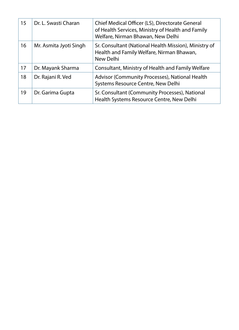| 15 | Dr. L. Swasti Charan   | Chief Medical Officer (LS), Directorate General<br>of Health Services, Ministry of Health and Family<br>Welfare, Nirman Bhawan, New Delhi |
|----|------------------------|-------------------------------------------------------------------------------------------------------------------------------------------|
| 16 | Mr. Asmita Jyoti Singh | Sr. Consultant (National Health Mission), Ministry of<br>Health and Family Welfare, Nirman Bhawan,<br>New Delhi                           |
| 17 | Dr. Mayank Sharma      | Consultant, Ministry of Health and Family Welfare                                                                                         |
| 18 | Dr. Rajani R. Ved      | Advisor (Community Processes), National Health<br>Systems Resource Centre, New Delhi                                                      |
| 19 | Dr. Garima Gupta       | Sr. Consultant (Community Processes), National<br>Health Systems Resource Centre, New Delhi                                               |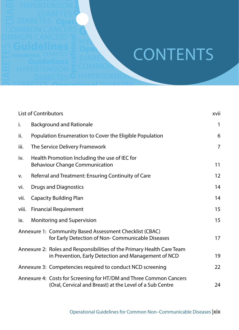### Hypertension COMMON **CONTENTS**

|       | <b>CONTENTS</b>                                                                                                                |      |
|-------|--------------------------------------------------------------------------------------------------------------------------------|------|
|       |                                                                                                                                |      |
|       |                                                                                                                                |      |
|       |                                                                                                                                |      |
|       |                                                                                                                                |      |
|       |                                                                                                                                |      |
|       | <b>List of Contributors</b>                                                                                                    | xvii |
| i.    | <b>Background and Rationale</b>                                                                                                | 1    |
| ii.   | Population Enumeration to Cover the Eligible Population                                                                        | 6    |
| iii.  | The Service Delivery Framework                                                                                                 | 7    |
| iv.   | Health Promotion Including the use of IEC for<br><b>Behaviour Change Communication</b>                                         | 11   |
| v.    | Referral and Treatment: Ensuring Continuity of Care                                                                            | 12   |
| vi.   | <b>Drugs and Diagnostics</b>                                                                                                   | 14   |
| vii.  | <b>Capacity Building Plan</b>                                                                                                  | 14   |
| viii. | <b>Financial Requirement</b>                                                                                                   | 15   |
| ix.   | Monitoring and Supervision                                                                                                     | 15   |
|       | Annexure 1: Community Based Assessment Checklist (CBAC)<br>for Early Detection of Non-Communicable Diseases                    | 17   |
|       | Annexure 2: Roles and Responsibilities of the Primary Health Care Team<br>in Prevention, Early Detection and Management of NCD | 19   |
|       | Annexure 3: Competencies required to conduct NCD screening                                                                     | 22   |
|       | Annexure 4: Costs for Screening for HT/DM and Three Common Cancers<br>(Oral, Cervical and Breast) at the Level of a Sub Centre | 24   |
|       | Operational Guidelines for Common Non-Communicable Diseases   Xix                                                              |      |

DIABETES

Diabetes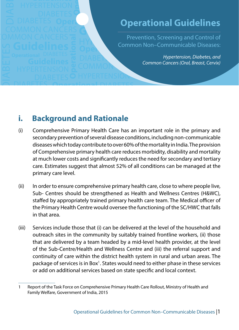### **Operational Guidelines**

Operational **Co**r Hypertension, Screening and Control of Theorem Common Non–Communicable Diseases: Guidelines **Guidelines** Prevention, Screening and Control of

COMMON COM *Hypertension, Diabetes, and Common Cancers (Oral, Breast, Cervix)*

#### **i. Background and Rationale**

**Operational** 

DIABETES

Diabetes

**Operational** 

Hypertension

Common Cancers

Hypertension

Diabetes

DIABET

- **Operational Guidelines Freeming and Control of Common Non–Communicable Diseases:**<br>
Freeming and Control of Common Non–Communicable Diseases:<br> *Hypertension, Diabetes, and*<br> **Common Cancers (Oral, Breast, Cervix)**<br> **OPERTI** (i) Comprehensive Primary Health Care has an important role in the primary and secondary prevention of several disease conditions, including non-communicable diseases which today contribute to over 60% of the mortality in India. The provision of Comprehensive primary health care reduces morbidity, disability and mortality at much lower costs and significantly reduces the need for secondary and tertiary care. Estimates suggest that almost 52% of all conditions can be managed at the primary care level.
- (ii) In order to ensure comprehensive primary health care, close to where people live, Sub- Centres should be strengthened as Health and Wellness Centres (H&WC), staffed by appropriately trained primary health care team. The Medical officer of the Primary Health Centre would oversee the functioning of the SC/HWC that falls in that area.
- (iii) Services include those that (i) can be delivered at the level of the household and outreach sites in the community by suitably trained frontline workers, (ii) those that are delivered by a team headed by a mid-level health provider, at the level of the Sub-Centre/Health and Wellness Centre and (iii) the referral support and continuity of care within the district health system in rural and urban areas. The package of services is in Box<sup>1</sup>. States would need to either phase in these services or add on additional services based on state specific and local context.

<sup>1</sup> Report of the Task Force on Comprehensive Primary Health Care Rollout, Ministry of Health and Family Welfare, Government of India, 2015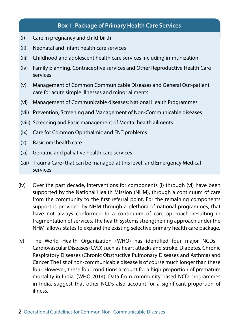#### **Box 1: Package of Primary Health Care Services**

- (i) Care in pregnancy and child-birth
- (ii) Neonatal and infant health care services
- (iii) Childhood and adolescent health care services including immunization.
- (iv) Family planning, Contraceptive services and Other Reproductive Health Care services
- (v) Management of Common Communicable Diseases and General Out-patient care for acute simple illnesses and minor ailments
- (vi) Management of Communicable diseases: National Health Programmes
- (vii) Prevention, Screening and Management of Non-Communicable diseases
- (viii) Screening and Basic management of Mental health ailments
- (ix) Care for Common Ophthalmic and ENT problems
- (x) Basic oral health care
- (xi) Geriatric and palliative health care services
- (xii) Trauma Care (that can be managed at this level) and Emergency Medical services
- (iv) Over the past decade, interventions for components (i) through (vi) have been supported by the National Health Mission (NHM), through a continuum of care from the community to the first referral point. For the remaining components support is provided by NHM through a plethora of national programmes, that have not always conformed to a continuum of care approach, resulting in fragmentation of services. The health systems strengthening approach under the NHM, allows states to expand the existing selective primary health care package.
- (v) The World Health Organization (WHO) has identified four major NCDs Cardiovascular Diseases (CVD) such as heart attacks and stroke, Diabetes, Chronic Respiratory Diseases (Chronic Obstructive Pulmonary Diseases and Asthma) and Cancer. The list of non-communicable disease is of course much longer than these four. However, these four conditions account for a high proportion of premature mortality in India. (WHO 2014). Data from community based NCD programmes in India, suggest that other NCDs also account for a significant proportion of illness.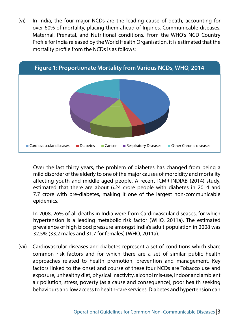(vi) In India, the four major NCDs are the leading cause of death, accounting for over 60% of mortality, placing them ahead of Injuries, Communicable diseases, Maternal, Prenatal, and Nutritional conditions. From the WHO's NCD Country Profile for India released by the World Health Organisation, it is estimated that the mortality profile from the NCDs is as follows:



 Over the last thirty years, the problem of diabetes has changed from being a mild disorder of the elderly to one of the major causes of morbidity and mortality affecting youth and middle aged people. A recent ICMR-INDIAB (2014) study, estimated that there are about 6.24 crore people with diabetes in 2014 and 7.7 crore with pre-diabetes, making it one of the largest non-communicable epidemics.

 In 2008, 26% of all deaths in India were from Cardiovascular diseases, for which hypertension is a leading metabolic risk factor (WHO, 2011a). The estimated prevalence of high blood pressure amongst India's adult population in 2008 was 32.5% (33.2 males and 31.7 for females) (WHO, 2011a).

(vii) Cardiovascular diseases and diabetes represent a set of conditions which share common risk factors and for which there are a set of similar public health approaches related to health promotion, prevention and management. Key factors linked to the onset and course of these four NCDs are Tobacco use and exposure, unhealthy diet, physical inactivity, alcohol mis-use, Indoor and ambient air pollution, stress, poverty (as a cause and consequence), poor health seeking behaviours and low access to health-care services. Diabetes and hypertension can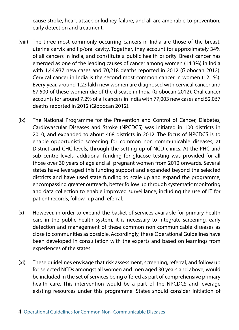cause stroke, heart attack or kidney failure, and all are amenable to prevention, early detection and treatment.

- (viii) The three most commonly occurring cancers in India are those of the breast, uterine cervix and lip/oral cavity. Together, they account for approximately 34% of all cancers in India, and constitute a public health priority. Breast cancer has emerged as one of the leading causes of cancer among women (14.3%) in India with 1,44,937 new cases and 70,218 deaths reported in 2012 (Globocan 2012). Cervical cancer in India is the second most common cancer in women (12.1%). Every year, around 1.23 lakh new women are diagnosed with cervical cancer and 67,500 of these women die of the disease in India (Globocan 2012). Oral cancer accounts for around 7.2% of all cancers in India with 77,003 new cases and 52,067 deaths reported in 2012 (Globocan 2012).
- (ix) The National Programme for the Prevention and Control of Cancer, Diabetes, Cardiovascular Diseases and Stroke (NPCDCS) was initiated in 100 districts in 2010, and expanded to about 468 districts in 2012. The focus of NPCDCS is to enable opportunistic screening for common non communicable diseases, at District and CHC levels, through the setting up of NCD clinics. At the PHC and sub centre levels, additional funding for glucose testing was provided for all those over 30 years of age and all pregnant women from 2012 onwards. Several states have leveraged this funding support and expanded beyond the selected districts and have used state funding to scale up and expand the programme, encompassing greater outreach, better follow up through systematic monitoring and data collection to enable improved surveillance, including the use of IT for patient records, follow -up and referral.
- (x) However, in order to expand the basket of services available for primary health care in the public health system, it is necessary to integrate screening, early detection and management of these common non communicable diseases as close to communities as possible. Accordingly, these Operational Guidelines have been developed in consultation with the experts and based on learnings from experiences of the states.
- (xi) These guidelines envisage that risk assessment, screening, referral, and follow up for selected NCDs amongst all women and men aged 30 years and above, would be included in the set of services being offered as part of comprehensive primary health care. This intervention would be a part of the NPCDCS and leverage existing resources under this programme. States should consider initiation of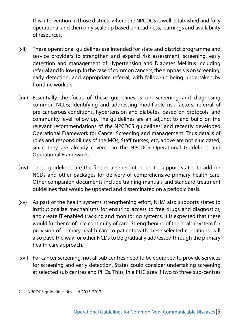this intervention in those districts where the NPCDCS is well established and fully operational and then only scale up based on readiness, learnings and availability of resources.

- (xii) These operational guidelines are intended for state and district programme and service providers to strengthen and expand risk assessment, screening, early detection and management of Hypertension and Diabetes Mellitus including referral and follow up. In the case of common cancers, the emphasis is on screening, early detection, and appropriate referral, with follow-up being undertaken by frontline workers.
- (xiii) Essentially the focus of these guidelines is on: screening and diagnosing common NCDs; identifying and addressing modifiable risk factors, referral of pre-cancerous conditions, hypertension and diabetes, based on protocols, and community level follow up. The guidelines are an adjunct to and build on the relevant recommendations of the NPCDCS guidelines $2$  and recently developed Operational Framework for Cancer Screening and management. Thus details of roles and responsibilities of the MOs, Staff nurses, etc, above are not elucidated, since they are already covered in the NPCDCS Operational Guidelines and Operational Framework.
- (xiv) These guidelines are the first in a series intended to support states to add on NCDs and other packages for delivery of comprehensive primary health care. Other companion documents include training manuals and standard treatment guidelines that would be updated and disseminated on a periodic basis.
- (xv) As part of the health systems strengthening effort, NHM also supports states to institutionalize mechanisms for ensuring access to free drugs and diagnostics, and create IT enabled tracking and monitoring systems. It is expected that these would further reinforce continuity of care. Strengthening of the health system for provision of primary health care to patients with these selected conditions, will also pave the way for other NCDs to be gradually addressed through the primary health care approach.
- (xvi) For cancer screening, not all sub centres need to be equipped to provide services for screening and early detection. States could consider undertaking screening at selected sub centres and PHCs. Thus, in a PHC area if two to three sub-centres

<sup>2.</sup> NPCDCS guidelines Revised 2013-2017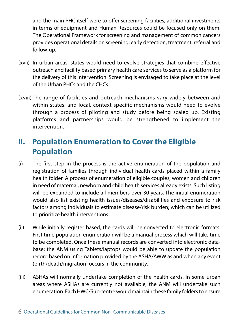and the main PHC itself were to offer screening facilities, additional investments in terms of equipment and Human Resources could be focused only on them. The Operational Framework for screening and management of common cancers provides operational details on screening, early detection, treatment, referral and follow-up.

- (xvii) In urban areas, states would need to evolve strategies that combine effective outreach and facility based primary health care services to serve as a platform for the delivery of this intervention. Screening is envisaged to take place at the level of the Urban PHCs and the CHCs.
- (xviii) The range of facilities and outreach mechanisms vary widely between and within states, and local, context specific mechanisms would need to evolve through a process of piloting and study before being scaled up. Existing platforms and partnerships would be strengthened to implement the intervention.

#### **ii. Population Enumeration to Cover the Eligible Population**

- (i) The first step in the process is the active enumeration of the population and registration of families through individual health cards placed within a family health folder. A process of enumeration of eligible couples, women and children in need of maternal, newborn and child health services already exists. Such listing will be expanded to include all members over 30 years. The initial enumeration would also list existing health issues/diseases/disabilities and exposure to risk factors among individuals to estimate disease/risk burden; which can be utilized to prioritize health interventions.
- (ii) While initially register based, the cards will be converted to electronic formats. First time population enumeration will be a manual process which will take time to be completed. Once these manual records are converted into electronic database; the ANM using Tablets/laptops would be able to update the population record based on information provided by the ASHA/AWW as and when any event (birth/death/migration) occurs in the community.
- (iii) ASHAs will normally undertake completion of the health cards. In some urban areas where ASHAs are currently not available, the ANM will undertake such enumeration. Each HWC/Sub centre would maintain these family folders to ensure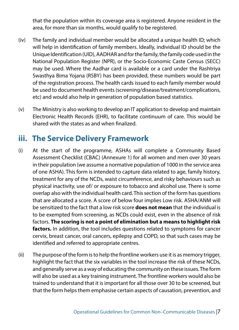that the population within its coverage area is registered. Anyone resident in the area, for more than six months, would qualify to be registered.

- (iv) The family and individual member would be allocated a unique health ID; which will help in identification of family members. Ideally, individual ID should be the Unique Identification (UID), AADHAR and for the family, the family code used in the National Population Register (NPR), or the Socio-Economic Caste Census (SECC) may be used. Where the Aadhar card is available or a card under the Rashtriya Swasthya Bima Yojana (RSBY) has been provided, these numbers would be part of the registration process. The health cards issued to each family member would be used to document health events (screening/disease/treatment/complications, etc) and would also help in generation of population based statistics.
- (v) The Ministry is also working to develop an IT application to develop and maintain Electronic Health Records (EHR), to facilitate continuum of care. This would be shared with the states as and when finalized.

#### **iii. The Service Delivery Framework**

- (i) At the start of the programme, ASHAs will complete a Community Based Assessment Checklist (CBAC) (Annexure 1) for all women and men over 30 years in their population (we assume a normative population of 1000 in the service area of one ASHA). This form is intended to capture data related to age, family history, treatment for any of the NCDs, waist circumference, and risky behaviours such as physical inactivity, use of/ or exposure to tobacco and alcohol use. There is some overlap also with the individual health card. This section of the form has questions that are allocated a score. A score of below four implies Low risk. ASHA/ANM will be sensitized to the fact that a low risk score **does not mean** that the individual is to be exempted from screening, as NCDs could exist, even in the absence of risk factors. **The scoring is not a point of elimination but a means to highlight risk factors.** In addition, the tool includes questions related to symptoms for cancer cervix, breast cancer, oral cancers, epilepsy and COPD, so that such cases may be identified and referred to appropriate centres.
- (ii) The purpose of the form is to help the frontline workers use it is as memory trigger, highlight the fact that the six variables in the tool increase the risk of these NCDs, and generally serve as a way of educating the community on these issues. The form will also be used as a key training instrument. The frontline workers would also be trained to understand that it is important for all those over 30 to be screened, but that the form helps them emphasise certain aspects of causation, prevention, and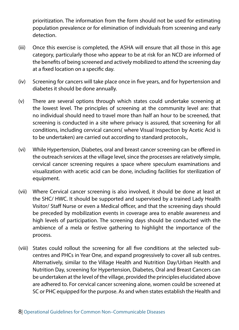prioritization. The information from the form should not be used for estimating population prevalence or for elimination of individuals from screening and early detection.

- (iii) Once this exercise is completed, the ASHA will ensure that all those in this age category, particularly those who appear to be at risk for an NCD are informed of the benefits of being screened and actively mobilized to attend the screening day at a fixed location on a specific day.
- (iv) Screening for cancers will take place once in five years, and for hypertension and diabetes it should be done annually.
- (v) There are several options through which states could undertake screening at the lowest level. The principles of screening at the community level are: that no individual should need to travel more than half an hour to be screened, that screening is conducted in a site where privacy is assured, that screening for all conditions, including cervical cancers( where Visual Inspection by Acetic Acid is to be undertaken) are carried out according to standard protocols.,
- (vi) While Hypertension, Diabetes, oral and breast cancer screening can be offered in the outreach services at the village level, since the processes are relatively simple, cervical cancer screening requires a space where speculum examinations and visualization with acetic acid can be done, including facilities for sterilization of equipment.
- (vii) Where Cervical cancer screening is also involved, it should be done at least at the SHC/ HWC. It should be supported and supervised by a trained Lady Health Visitor/ Staff Nurse or even a Medical officer, and that the screening days should be preceded by mobilization events in coverage area to enable awareness and high levels of participation. The screening days should be conducted with the ambience of a mela or festive gathering to highlight the importance of the process.
- (viii) States could rollout the screening for all five conditions at the selected subcentres and PHCs in Year One, and expand progressively to cover all sub centres. Alternatively, similar to the Village Health and Nutrition Day/Urban Health and Nutrition Day, screening for Hypertension, Diabetes, Oral and Breast Cancers can be undertaken at the level of the village, provided the principles elucidated above are adhered to. For cervical cancer screening alone, women could be screened at SC or PHC equipped for the purpose. As and when states establish the Health and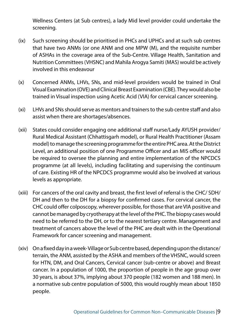Wellness Centers (at Sub centres), a lady Mid level provider could undertake the screening.

- (ix) Such screening should be prioritised in PHCs and UPHCs and at such sub centres that have two ANMs (or one ANM and one MPW (M), and the requisite number of ASHAs in the coverage area of the Sub-Centre. Village Health, Sanitation and Nutrition Committees (VHSNC) and Mahila Arogya Samiti (MAS) would be actively involved in this endeavour
- (x) Concerned ANMs, LHVs, SNs, and mid-level providers would be trained in Oral Visual Examination (OVE) and Clinical Breast Examination (CBE). They would also be trained in Visual inspection using Acetic Acid (VIA) for cervical cancer screening.
- (xi) LHVs and SNs should serve as mentors and trainers to the sub centre staff and also assist when there are shortages/absences.
- (xii) States could consider engaging one additional staff nurse/Lady AYUSH provider/ Rural Medical Assistant (Chhattisgarh model), or Rural Health Practitioner (Assam model) to manage the screening programme for the entire PHC area. At the District Level, an additional position of one Programme Officer and an MIS officer would be required to oversee the planning and entire implementation of the NPCDCS programme (at all levels), including facilitating and supervising the continuum of care. Existing HR of the NPCDCS programme would also be involved at various levels as appropriate.
- (xiii) For cancers of the oral cavity and breast, the first level of referral is the CHC/ SDH/ DH and then to the DH for a biopsy for confirmed cases. For cervical cancer, the CHC could offer colposcopy, wherever possible, for those that are VIA positive and cannot be managed by cryotherapy at the level of the PHC. The biopsy cases would need to be referred to the DH, or to the nearest tertiary centre. Management and treatment of cancers above the level of the PHC are dealt with in the Operational Framework for cancer screening and management.
- (xiv) On a fixed day in a week- Village or Sub centre based, depending upon the distance/ terrain, the ANM, assisted by the ASHA and members of the VHSNC, would screen for HTN, DM, and Oral Cancers, Cervical cancer (sub-centre or above) and Breast cancer. In a population of 1000, the proportion of people in the age group over 30 years, is about 37%, implying about 370 people (182 women and 188 men). In a normative sub centre population of 5000, this would roughly mean about 1850 people.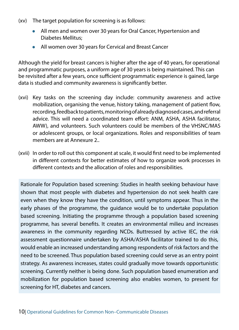- (xv) The target population for screening is as follows:
	- All men and women over 30 years for Oral Cancer, Hypertension and Diabetes Mellitus;
	- All women over 30 years for Cervical and Breast Cancer

Although the yield for breast cancers is higher after the age of 40 years, for operational and programmatic purposes, a uniform age of 30 years is being maintained. This can be revisited after a few years, once sufficient programmatic experience is gained, large data is studied and community awareness is significantly better.

- (xvi) Key tasks on the screening day include: community awareness and active mobilization, organising the venue, history taking, management of patient flow, recording, feedback to patients, monitoring of already diagnosed cases, and referral advice. This will need a coordinated team effort: ANM, ASHA, ASHA facilitator, AWW), and volunteers. Such volunteers could be members of the VHSNC/MAS or adolescent groups, or local organizations. Roles and responsibilities of team members are at Annexure 2..
- (xvii) In order to roll out this component at scale, it would first need to be implemented in different contexts for better estimates of how to organize work processes in different contexts and the allocation of roles and responsibilities.

Rationale for Population based screening: Studies in health seeking behaviour have shown that most people with diabetes and hypertension do not seek health care even when they know they have the condition, until symptoms appear. Thus in the early phases of the programme, the guidance would be to undertake population based screening. Initiating the programme through a population based screening programme, has several benefits. It creates an environmental milieu and increases awareness in the community regarding NCDs. Buttressed by active IEC, the risk assessment questionnaire undertaken by ASHA/ASHA facilitator trained to do this, would enable an increased understanding among respondents of risk factors and the need to be screened. Thus population based screening could serve as an entry point strategy. As awareness increases, states could gradually move towards opportunistic screening. Currently neither is being done. Such population based enumeration and mobilization for population based screening also enables women, to present for screening for HT, diabetes and cancers.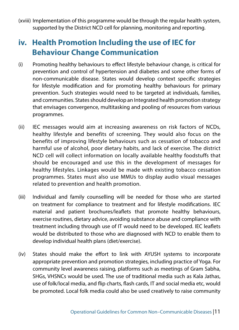(xviii) Implementation of this programme would be through the regular health system, supported by the District NCD cell for planning, monitoring and reporting.

#### **iv. Health Promotion Including the use of IEC for Behaviour Change Communication**

- (i) Promoting healthy behaviours to effect lifestyle behaviour change, is critical for prevention and control of hypertension and diabetes and some other forms of non-communicable disease. States would develop context specific strategies for lifestyle modification and for promoting healthy behaviours for primary prevention. Such strategies would need to be targeted at individuals, families, and communities. States should develop an Integrated health promotion strategy that envisages convergence, multitasking and pooling of resources from various programmes.
- (ii) IEC messages would aim at increasing awareness on risk factors of NCDs, healthy lifestyle and benefits of screening. They would also focus on the benefits of improving lifestyle behaviours such as cessation of tobacco and harmful use of alcohol, poor dietary habits, and lack of exercise. The district NCD cell will collect information on locally available healthy foodstuffs that should be encouraged and use this in the development of messages for healthy lifestyles. Linkages would be made with existing tobacco cessation programmes. States must also use MMUs to display audio visual messages related to prevention and health promotion.
- (iii) Individual and family counselling will be needed for those who are started on treatment for compliance to treatment and for lifestyle modifications. IEC material and patient brochures/leaflets that promote healthy behaviours, exercise routines, dietary advice, avoiding substance abuse and compliance with treatment including through use of IT would need to be developed. IEC leaflets would be distributed to those who are diagnosed with NCD to enable them to develop individual health plans (diet/exercise).
- (iv) States should make the effort to link with AYUSH systems to incorporate appropriate prevention and promotion strategies, including practice of Yoga. For community level awareness raising, platforms such as meetings of Gram Sabha, SHGs, VHSNCs would be used. The use of traditional media such as Kala Jathas, use of folk/local media, and flip charts, flash cards, IT and social media etc, would be promoted. Local folk media could also be used creatively to raise community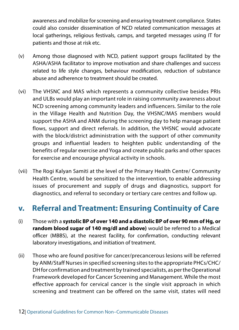awareness and mobilize for screening and ensuring treatment compliance. States could also consider dissemination of NCD related communication messages at local gatherings, religious festivals, camps, and targeted messages using IT for patients and those at risk etc.

- (v) Among those diagnosed with NCD, patient support groups facilitated by the ASHA/ASHA facilitator to improve motivation and share challenges and success related to life style changes, behaviour modification, reduction of substance abuse and adherence to treatment should be created.
- (vi) The VHSNC and MAS which represents a community collective besides PRIs and ULBs would play an important role in raising community awareness about NCD screening among community leaders and influencers. Similar to the role in the Village Health and Nutrition Day, the VHSNC/MAS members would support the ASHA and ANM during the screening day to help manage patient flows, support and direct referrals. In addition, the VHSNC would advocate with the block/district administration with the support of other community groups and influential leaders to heighten public understanding of the benefits of regular exercise and Yoga and create public parks and other spaces for exercise and encourage physical activity in schools.
- (vii) The Rogi Kalyan Samiti at the level of the Primary Health Centre/ Community Health Centre, would be sensitized to the intervention, to enable addressing issues of procurement and supply of drugs and diagnostics, support for diagnostics, and referral to secondary or tertiary care centres and follow up.

#### **v. Referral and Treatment: Ensuring Continuity of Care**

- (i) Those with a **systolic BP of over 140 and a diastolic BP of over 90 mm of Hg, or random blood sugar of 140 mg/dl and above)** would be referred to a Medical officer (MBBS), at the nearest facility, for confirmation, conducting relevant laboratory investigations, and initiation of treatment.
- (ii) Those who are found positive for cancer/precancerous lesions will be referred by ANM/Staff Nurses in specified screening sites to the appropriate PHCs/CHC/ DH for confirmation and treatment by trained specialists, as per the Operational Framework developed for Cancer Screening and Management. While the most effective approach for cervical cancer is the single visit approach in which screening and treatment can be offered on the same visit, states will need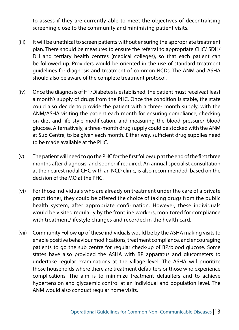to assess if they are currently able to meet the objectives of decentralising screening close to the community and minimising patient visits.

- (iii) It will be unethical to screen patients without ensuring the appropriate treatment plan. There should be measures to ensure the referral to appropriate CHC/ SDH/ DH and tertiary health centres (medical colleges), so that each patient can be followed up. Providers would be oriented in the use of standard treatment guidelines for diagnosis and treatment of common NCDs. The ANM and ASHA should also be aware of the complete treatment protocol.
- (iv) Once the diagnosis of HT/Diabetes is established, the patient must receiveat least a month's supply of drugs from the PHC. Once the condition is stable, the state could also decide to provide the patient with a three- month supply, with the ANM/ASHA visiting the patient each month for ensuring compliance, checking on diet and life style modification, and measuring the blood pressure/ blood glucose. Alternatively, a three-month drug supply could be stocked with the ANM at Sub Centre, to be given each month. Either way, sufficient drug supplies need to be made available at the PHC.
- (v) The patient will need to go the PHC for the first follow up at the end of the first three months after diagnosis, and sooner if required. An annual specialist consultation at the nearest nodal CHC with an NCD clinic, is also recommended, based on the decision of the MO at the PHC.
- (vi) For those individuals who are already on treatment under the care of a private practitioner, they could be offered the choice of taking drugs from the public health system, after appropriate confirmation. However, these individuals would be visited regularly by the frontline workers, monitored for compliance with treatment/lifestyle changes and recorded in the health card.
- (vii) Community Follow up of these individuals would be by the ASHA making visits to enable positive behaviour modifications, treatment compliance, and encouraging patients to go the sub centre for regular check-up of BP/blood glucose. Some states have also provided the ASHA with BP apparatus and glucometers to undertake regular examinations at the village level. The ASHA will prioritize those households where there are treatment defaulters or those who experience complications. The aim is to minimize treatment defaulters and to achieve hypertension and glycaemic control at an individual and population level. The ANM would also conduct regular home visits.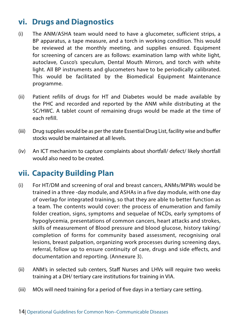#### **vi. Drugs and Diagnostics**

- (i) The ANM/ASHA team would need to have a glucometer, sufficient strips, a BP apparatus, a tape measure, and a torch in working condition. This would be reviewed at the monthly meeting, and supplies ensured. Equipment for screening of cancers are as follows: examination lamp with white light, autoclave, Cusco's speculum, Dental Mouth Mirrors, and torch with white light. All BP instruments and glucometers have to be periodically calibrated. This would be facilitated by the Biomedical Equipment Maintenance programme.
- (ii) Patient refills of drugs for HT and Diabetes would be made available by the PHC and recorded and reported by the ANM while distributing at the SC/HWC. A tablet count of remaining drugs would be made at the time of each refill.
- (iii) Drug supplies would be as per the state Essential Drug List, facility wise and buffer stocks would be maintained at all levels.
- (iv) An ICT mechanism to capture complaints about shortfall/ defect/ likely shortfall would also need to be created.

#### **vii. Capacity Building Plan**

- (i) For HT/DM and screening of oral and breast cancers, ANMs/MPWs would be trained in a three -day module, and ASHAs in a five day module, with one day of overlap for integrated training, so that they are able to better function as a team. The contents would cover: the process of enumeration and family folder creation, signs, symptoms and sequelae of NCDs, early symptoms of hypoglycemia, presentations of common cancers, heart attacks and strokes, skills of measurement of Blood pressure and blood glucose, history taking/ completion of forms for community based assessment, recognising oral lesions, breast palpation, organizing work processes during screening days, referral, follow up to ensure continuity of care, drugs and side effects, and documentation and reporting. (Annexure 3).
- (ii) ANM's in selected sub centers, Staff Nurses and LHVs will require two weeks training at a DH/ tertiary care institutions for training in VIA.
- (iii) MOs will need training for a period of five days in a tertiary care setting.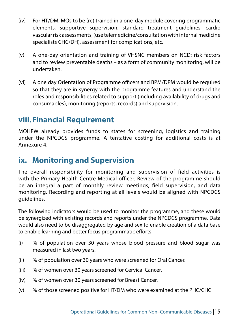- (iv) For HT/DM, MOs to be (re) trained in a one-day module covering programmatic elements, supportive supervision, standard treatment guidelines, cardio vascular risk assessments, (use telemedicine/consultation with internal medicine specialists CHC/DH), assessment for complications, etc.
- (v) A one-day orientation and training of VHSNC members on NCD: risk factors and to review preventable deaths – as a form of community monitoring, will be undertaken.
- (vi) A one day Orientation of Programme officers and BPM/DPM would be required so that they are in synergy with the programme features and understand the roles and responsibilities related to support (including availability of drugs and consumables), monitoring (reports, records) and supervision.

#### **viii.Financial Requirement**

MOHFW already provides funds to states for screening, logistics and training under the NPCDCS programme. A tentative costing for additional costs is at Annexure 4.

#### **ix. Monitoring and Supervision**

The overall responsibility for monitoring and supervision of field activities is with the Primary Health Centre Medical officer. Review of the programme should be an integral a part of monthly review meetings, field supervision, and data monitoring. Recording and reporting at all levels would be aligned with NPCDCS guidelines.

The following indicators would be used to monitor the programme, and these would be synergized with existing records and reports under the NPCDCS programme. Data would also need to be disaggregated by age and sex to enable creation of a data base to enable learning and better focus programmatic efforts

- (i) % of population over 30 years whose blood pressure and blood sugar was measured in last two years.
- (ii) % of population over 30 years who were screened for Oral Cancer.
- (iii) % of women over 30 years screened for Cervical Cancer.
- (iv) % of women over 30 years screened for Breast Cancer.
- (v) % of those screened positive for HT/DM who were examined at the PHC/CHC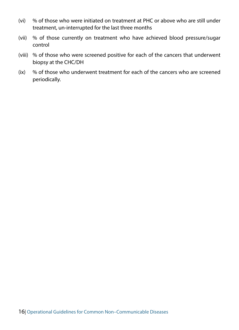- (vi) % of those who were initiated on treatment at PHC or above who are still under treatment, un-interrupted for the last three months
- (vii) % of those currently on treatment who have achieved blood pressure/sugar control
- (viii) % of those who were screened positive for each of the cancers that underwent biopsy at the CHC/DH
- (ix) % of those who underwent treatment for each of the cancers who are screened periodically.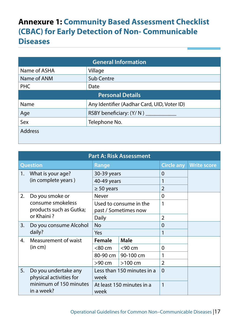#### **Annexure 1: Community Based Assessment Checklist (CBAC) for Early Detection of Non- Communicable Diseases**

| <b>General Information</b>                 |                                             |  |  |
|--------------------------------------------|---------------------------------------------|--|--|
| Name of ASHA<br>Village                    |                                             |  |  |
| Name of ANM                                | Sub Centre                                  |  |  |
| <b>PHC</b><br>Date                         |                                             |  |  |
| <b>Personal Details</b>                    |                                             |  |  |
| Name                                       | Any Identifier (Aadhar Card, UID, Voter ID) |  |  |
| Age<br>RSBY beneficiary: (Y/N) ___________ |                                             |  |  |
| Sex<br>Telephone No.                       |                                             |  |  |
| <b>Address</b>                             |                                             |  |  |

| <b>Part A: Risk Assessment</b> |                                                   |                            |                        |                   |                    |  |
|--------------------------------|---------------------------------------------------|----------------------------|------------------------|-------------------|--------------------|--|
| <b>Question</b><br>Range       |                                                   |                            |                        | <b>Circle any</b> | <b>Write score</b> |  |
| 1.                             | What is your age?                                 | 30-39 years                |                        | $\Omega$          |                    |  |
|                                | (in complete years)                               | 40-49 years                |                        |                   |                    |  |
|                                |                                                   | $\geq 50$ years            |                        | $\overline{2}$    |                    |  |
| 2.                             | Do you smoke or                                   | Never                      |                        | $\Omega$          |                    |  |
|                                | consume smokeless                                 |                            | Used to consume in the | 1                 |                    |  |
|                                | products such as Gutka;                           | past / Sometimes now       |                        |                   |                    |  |
|                                | or Khaini?                                        | Daily                      |                        | $\mathfrak{p}$    |                    |  |
| 3.                             | Do you consume Alcohol                            | No                         |                        | $\Omega$          |                    |  |
|                                | daily?                                            | Yes                        |                        | 1                 |                    |  |
| 4.                             | Measurement of waist                              | Female                     | <b>Male</b>            |                   |                    |  |
|                                | (in cm)                                           | $<$ 80 cm                  | $<$ 90 cm              | $\Omega$          |                    |  |
|                                |                                                   | 80-90 cm                   | 90-100 cm              | 1                 |                    |  |
|                                |                                                   | >90 cm                     | $>100$ cm              | $\overline{2}$    |                    |  |
| Do you undertake any<br>5.     |                                                   | Less than 150 minutes in a |                        | $\Omega$          |                    |  |
|                                | physical activities for<br>minimum of 150 minutes | week                       |                        |                   |                    |  |
|                                |                                                   | At least 150 minutes in a  |                        | 1                 |                    |  |
| in a week?                     |                                                   | week                       |                        |                   |                    |  |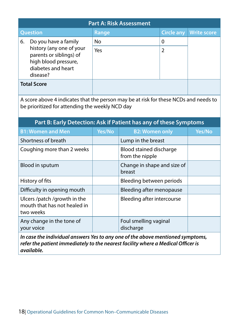|                    | <b>Part A: Risk Assessment</b>                                                                                |       |                   |                    |  |  |
|--------------------|---------------------------------------------------------------------------------------------------------------|-------|-------------------|--------------------|--|--|
|                    | <b>Question</b>                                                                                               | Range | <b>Circle any</b> | <b>Write score</b> |  |  |
| 6.                 | Do you have a family                                                                                          | No    | 0                 |                    |  |  |
|                    | history (any one of your<br>parents or siblings) of<br>high blood pressure,<br>diabetes and heart<br>disease? | Yes   |                   |                    |  |  |
| <b>Total Score</b> |                                                                                                               |       |                   |                    |  |  |

A score above 4 indicates that the person may be at risk for these NCDs and needs to be prioritized for attending the weekly NCD day

| Part B: Early Detection: Ask if Patient has any of these Symptoms         |        |                                            |        |  |  |
|---------------------------------------------------------------------------|--------|--------------------------------------------|--------|--|--|
| <b>B1: Women and Men</b>                                                  | Yes/No | <b>B2: Women only</b>                      | Yes/No |  |  |
| Shortness of breath                                                       |        | Lump in the breast                         |        |  |  |
| Coughing more than 2 weeks                                                |        | Blood stained discharge<br>from the nipple |        |  |  |
| Blood in sputum                                                           |        | Change in shape and size of<br>breast      |        |  |  |
| History of fits                                                           |        | Bleeding between periods                   |        |  |  |
| Difficulty in opening mouth                                               |        | Bleeding after menopause                   |        |  |  |
| Ulcers /patch /growth in the<br>mouth that has not healed in<br>two weeks |        | Bleeding after intercourse                 |        |  |  |
| Any change in the tone of<br>your voice                                   |        | Foul smelling vaginal<br>discharge         |        |  |  |

*In case the individual answers Yes to any one of the above mentioned symptoms, refer the patient immediately to the nearest facility where a Medical Officer is available.*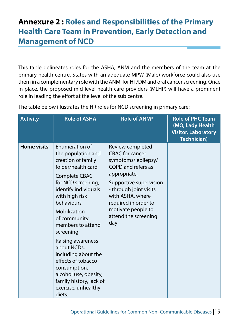#### **Annexure 2 : Roles and Responsibilities of the Primary Health Care Team in Prevention, Early Detection and Management of NCD**

This table delineates roles for the ASHA, ANM and the members of the team at the primary health centre. States with an adequate MPW (Male) workforce could also use them in a complementary role with the ANM, for HT/DM and oral cancer screening. Once in place, the proposed mid-level health care providers (MLHP) will have a prominent role in leading the effort at the level of the sub centre.

| <b>Activity</b>    | <b>Role of ASHA</b>                                                                                                                                                                                                                                                                                                                                                                                                                            | Role of ANM*                                                                                                                                                                                                                                                | <b>Role of PHC Team</b><br>(MO, Lady Health<br><b>Visitor, Laboratory</b><br><b>Technician)</b> |
|--------------------|------------------------------------------------------------------------------------------------------------------------------------------------------------------------------------------------------------------------------------------------------------------------------------------------------------------------------------------------------------------------------------------------------------------------------------------------|-------------------------------------------------------------------------------------------------------------------------------------------------------------------------------------------------------------------------------------------------------------|-------------------------------------------------------------------------------------------------|
| <b>Home visits</b> | <b>Enumeration of</b><br>the population and<br>creation of family<br>folder/health card<br>Complete CBAC<br>for NCD screening,<br>identify individuals<br>with high risk<br>behaviours<br>Mobilization<br>of community<br>members to attend<br>screening<br>Raising awareness<br>about NCDs,<br>including about the<br>effects of tobacco<br>consumption,<br>alcohol use, obesity,<br>family history, lack of<br>exercise, unhealthy<br>diets. | Review completed<br><b>CBAC</b> for cancer<br>symptoms/epilepsy/<br>COPD and refers as<br>appropriate.<br>Supportive supervision<br>- through joint visits<br>with ASHA, where<br>required in order to<br>motivate people to<br>attend the screening<br>day |                                                                                                 |

The table below illustrates the HR roles for NCD screening in primary care: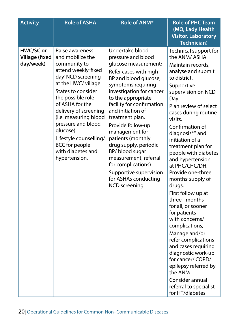| <b>Activity</b>                                 | <b>Role of ASHA</b>                                                                                                                                                                                                                                                                                                                                                  | Role of ANM*                                                                                                                                                                                                                                                                                                                                                                                                                                                                                  | <b>Role of PHC Team</b><br>(MO, Lady Health<br><b>Visitor, Laboratory</b><br><b>Technician)</b>                                                                                                                                                                                                                                                                                                                                                                                                                                                                                                                                                                                                                                         |
|-------------------------------------------------|----------------------------------------------------------------------------------------------------------------------------------------------------------------------------------------------------------------------------------------------------------------------------------------------------------------------------------------------------------------------|-----------------------------------------------------------------------------------------------------------------------------------------------------------------------------------------------------------------------------------------------------------------------------------------------------------------------------------------------------------------------------------------------------------------------------------------------------------------------------------------------|-----------------------------------------------------------------------------------------------------------------------------------------------------------------------------------------------------------------------------------------------------------------------------------------------------------------------------------------------------------------------------------------------------------------------------------------------------------------------------------------------------------------------------------------------------------------------------------------------------------------------------------------------------------------------------------------------------------------------------------------|
| HWC/SC or<br><b>Village (fixed</b><br>day/week) | Raise awareness<br>and mobilize the<br>community to<br>attend weekly 'fixed<br>day' NCD screening<br>at the HWC/ village<br>States to consider<br>the possible role<br>of ASHA for the<br>delivery of screening<br>(i.e. measuring blood<br>pressure and blood<br>glucose).<br>Lifestyle counselling/<br><b>BCC</b> for people<br>with diabetes and<br>hypertension, | Undertake blood<br>pressure and blood<br>glucose measurement;<br>Refer cases with high<br>BP and blood glucose,<br>symptoms requiring<br>investigation for cancer<br>to the appropriate<br>facility for confirmation<br>and initiation of<br>treatment plan.<br>Provide follow-up<br>management for<br>patients (monthly<br>drug supply, periodic<br>BP/ blood sugar<br>measurement, referral<br>for complications)<br>Supportive supervision<br>for ASHAs conducting<br><b>NCD</b> screening | Technical support for<br>the ANM/ASHA<br>Maintain records,<br>analyse and submit<br>to district.<br>Supportive<br>supervision on NCD<br>Day.<br>Plan review of select<br>cases during routine<br>visits.<br>Confirmation of<br>diagnosis** and<br>initiation of a<br>treatment plan for<br>people with diabetes<br>and hypertension<br>at PHC/CHC/DH.<br>Provide one-three<br>months' supply of<br>drugs.<br>First follow up at<br>three - months<br>for all, or sooner<br>for patients<br>with concerns/<br>complications,<br>Manage and/or<br>refer complications<br>and cases requiring<br>diagnostic work-up<br>for cancer/COPD/<br>epilepsy referred by<br>the ANM<br>Consider annual<br>referral to specialist<br>for HT/diabetes |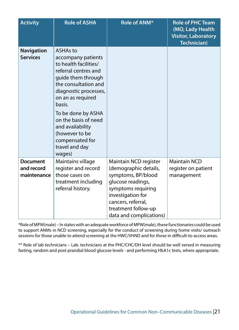| <b>Activity</b>                              | <b>Role of ASHA</b>                                                                                                                                                                                                                                                                                            | Role of ANM*                                                                                                                                                                                                 | <b>Role of PHC Team</b><br>(MO, Lady Health<br><b>Visitor, Laboratory</b><br><b>Technician)</b> |
|----------------------------------------------|----------------------------------------------------------------------------------------------------------------------------------------------------------------------------------------------------------------------------------------------------------------------------------------------------------------|--------------------------------------------------------------------------------------------------------------------------------------------------------------------------------------------------------------|-------------------------------------------------------------------------------------------------|
| <b>Navigation</b><br><b>Services</b>         | ASHAs to<br>accompany patients<br>to health facilities/<br>referral centres and<br>guide them through<br>the consultation and<br>diagnostic processes,<br>on an as required<br>basis.<br>To be done by ASHA<br>on the basis of need<br>and availability<br>(however to be<br>compensated for<br>travel and day |                                                                                                                                                                                                              |                                                                                                 |
|                                              | wages)                                                                                                                                                                                                                                                                                                         |                                                                                                                                                                                                              |                                                                                                 |
| <b>Document</b><br>and record<br>maintenance | Maintains village<br>register and record<br>those cases on<br>treatment including<br>referral history.                                                                                                                                                                                                         | Maintain NCD register<br>(demographic details,<br>symptoms, BP/blood<br>glucose readings,<br>symptoms requiring<br>investigation for<br>cancers, referral,<br>treatment follow-up<br>data and complications) | <b>Maintain NCD</b><br>register on patient<br>management                                        |

\*Role of MPW(male) – In states with an adequate workforce of MPW(male), these functionaries could be used to support ANMs in NCD screening, especially for the conduct of screening during home visits/ outreach sessions for those unable to attend screening at the HWC/VHND and for those in difficult-to-access areas.

\*\* Role of lab technicians – Lab. technicians at the PHC/CHC/DH level should be well versed in measuring fasting, random and post-prandial blood glucose levels - and performing HbA1c tests, where appropriate.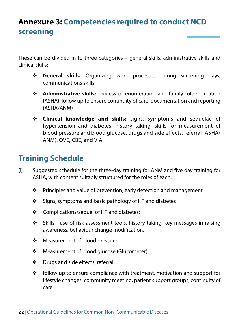These can be divided in to three categories – general skills, administrative skills and clinical skills:

- **General skills**: Organizing work processes during screening days; communications skills
- **Administrative skills:** process of enumeration and family folder creation (ASHA); follow up to ensure continuity of care; documentation and reporting (ASHA/ANM)
- **Clinical knowledge and skills:** signs, symptoms and sequelae of hypertension and diabetes, history taking, skills for measurement of blood pressure and blood glucose, drugs and side effects, referral (ASHA/ ANM), OVE, CBE, and VIA.

#### **Training Schedule**

- (i) Suggested schedule for the three-day training for ANM and five day training for ASHA, with content suitably structured for the roles of each.
	- $\cdot \cdot$  Principles and value of prevention, early detection and management
	- $\div$  Signs, symptoms and basic pathology of HT and diabetes
	- $\div$  Complications/sequel of HT and diabetes;
	- $\div$  Skills use of risk assessment tools, history taking, key messages in raising awareness, behaviour change modification.
	- Measurement of blood pressure
	- ❖ Measurement of blood glucose (Glucometer)
	- $\div$  Drugs and side effects; referral;
	- $\cdot \cdot$  follow up to ensure compliance with treatment, motivation and support for lifestyle changes, community meeting, patient support groups, continuity of care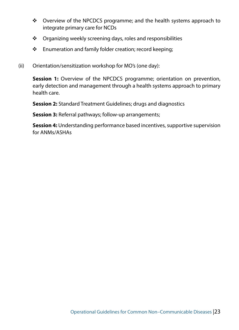- Overview of the NPCDCS programme; and the health systems approach to integrate primary care for NCDs
- ❖ Organizing weekly screening days, roles and responsibilities
- \* Enumeration and family folder creation; record keeping;
- (ii) Orientation/sensitization workshop for MO's (one day):

**Session 1:** Overview of the NPCDCS programme; orientation on prevention, early detection and management through a health systems approach to primary health care.

**Session 2:** Standard Treatment Guidelines; drugs and diagnostics

**Session 3:** Referral pathways; follow-up arrangements;

**Session 4:** Understanding performance based incentives, supportive supervision for ANMs/ASHAs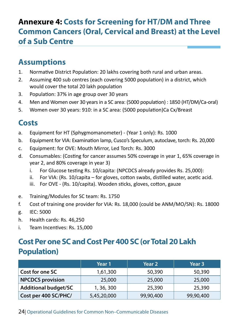#### **Annexure 4: Costs for Screening for HT/DM and Three Common Cancers (Oral, Cervical and Breast) at the Level of a Sub Centre**

#### **Assumptions**

- 1. Normative District Population: 20 lakhs covering both rural and urban areas.
- 2. Assuming 400 sub centres (each covering 5000 population) in a district, which would cover the total 20 lakh population
- 3. Population: 37% in age group over 30 years
- 4. Men and Women over 30 years in a SC area: (5000 population) : 1850 (HT/DM/Ca-oral)
- 5. Women over 30 years: 910: in a SC area: (5000 population)Ca Cx/Breast

#### **Costs**

- a. Equipment for HT (Sphygmomanometer) (Year 1 only): Rs. 1000
- b. Equipment for VIA: Examination lamp, Cusco's Speculum, autoclave, torch: Rs. 20,000
- c. Equipment: for OVE: Mouth Mirror, Led Torch: Rs. 3000
- d. Consumables: (Costing for cancer assumes 50% coverage in year 1, 65% coverage in year 2, and 80% coverage in year 3)
	- i. For Glucose testing Rs. 10/capita: (NPCDCS already provides Rs. 25,000):
	- $ii.$  For VIA: (Rs. 10/capita for gloves, cotton swabs, distilled water, acetic acid.
	- iii. For OVE (Rs. 10/capita). Wooden sticks, gloves, cotton, gauze
- e. Training/Modules for SC team: Rs. 1750
- f. Cost of training one provider for VIA: Rs. 18,000 (could be ANM/MO/SN): Rs. 18000
- g. IEC: 5000
- h. Health cards: Rs. 46,250
- i. Team Incentives: Rs. 15,000

#### **Cost Per one SC and Cost Per 400 SC (or Total 20 Lakh Population)**

|                             | Year 1      | Year 2    | Year 3    |
|-----------------------------|-------------|-----------|-----------|
| Cost for one SC             | 1,61,300    | 50,390    | 50,390    |
| <b>NPCDCS</b> provision     | 25,000      | 25,000    | 25,000    |
| <b>Additional budget/SC</b> | 1, 36, 300  | 25,390    | 25,390    |
| Cost per 400 SC/PHC/        | 5,45,20,000 | 99,90,400 | 99,90,400 |